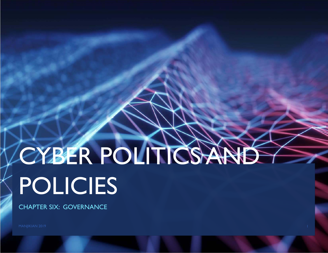# CYBER POLITICS AND POLICIES

CHAPTER SIX: GOVERNANCE

MANJIKIAN 2019 **1986 - Pada Secara Perancil Perancil** Perancil Perancil Perancil Perancil Perancil Perancil Perancil Perancil Perancil Perancil Perancil Perancil Perancil Perancil Perancil Perancil Perancil Perancil Peranc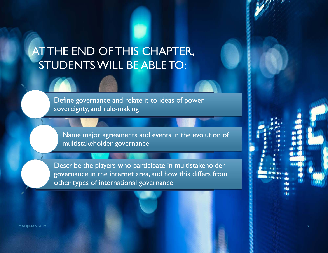# AT THE END OF THIS CHAPTER, STUDENTS WILL BE ABLE TO:

Define governance and relate it to ideas of power, sovereignty, and rule-making

Name major agreements and events in the evolution of multistakeholder governance

Describe the players who participate in multistakeholder governance in the internet area, and how this differs from other types of international governance

MANJIKIAN 2019 **2018 - Pamasang Pamasang Pamasang Pamasang Pamasang Pamasang Pamasang Pamasang Pamasang Pamasang**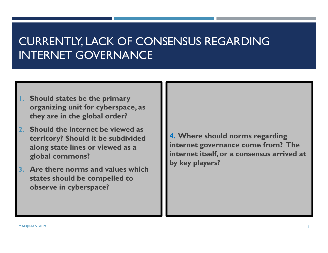# CURRENTLY, LACK OF CONSENSUS REGARDING INTERNET GOVERNANCE

- **1. Should states be the primary organizing unit for cyberspace, as they are in the global order?**
- **2. Should the internet be viewed as territory? Should it be subdivided along state lines or viewed as a global commons?**
- **3. Are there norms and values which states should be compelled to observe in cyberspace?**

**4. Where should norms regarding internet governance come from? The internet itself, or a consensus arrived at by key players?**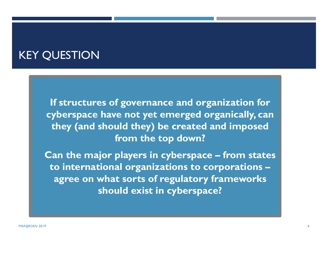#### KEY QUESTION

 **If structures of governance and organization for cyberspace have not yet emerged organically, can they (and should they) be created and imposed from the top down?** 

 **Can the major players in cyberspace – from states to international organizations to corporations – agree on what sorts of regulatory frameworks should exist in cyberspace?**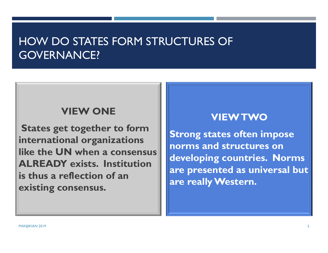## HOW DO STATES FORM STRUCTURES OF GOVERNANCE?

#### **VIEW ONE**

**States get together to form international organizations like the UN when a consensus ALREADY exists. Institution is thus a reflection of an existing consensus.**

#### **VIEW TWO**

**Strong states often impose norms and structures on developing countries. Norms are presented as universal but are really Western.**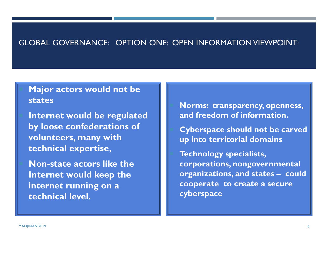#### GLOBAL GOVERNANCE: OPTION ONE: OPEN INFORMATION VIEWPOINT:

#### **Major actors would not be states**

- **Internet would be regulated by loose confederations of volunteers, many with technical expertise,**
- **Non-state actors like the Internet would keep the internet running on a technical level.**
- **Norms: transparency, openness, and freedom of information.**
- **Cyberspace should not be carved up into territorial domains**
- **Technology specialists, corporations, nongovernmental organizations, and states – could cooperate to create a secure cyberspace**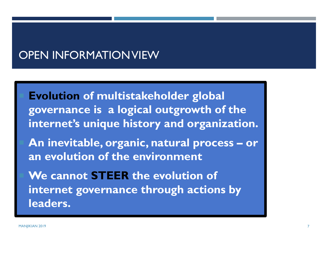#### OPEN INFORMATION VIEW

 **Evolution of multistakeholder global governance is a logical outgrowth of the internet's unique history and organization.**  An inevitable, organic, natural process – or **an evolution of the environment We cannot STEER the evolution of internet governance through actions by leaders.**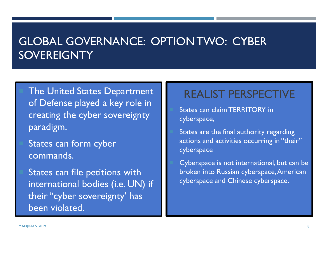## GLOBAL GOVERNANCE: OPTION TWO: CYBER **SOVEREIGNTY**

 The United States Department of Defense played a key role in creating the cyber sovereignty paradigm.

 States can form cyber commands.

States can file petitions with international bodies (i.e. UN) if their "cyber sovereignty' has been violated.

#### REALIST PERSPECTIVE

 States can claim TERRITORY in cyberspace,

 States are the final authority regarding actions and activities occurring in "their" cyberspace

 Cyberspace is not international, but can be broken into Russian cyberspace, American cyberspace and Chinese cyberspace.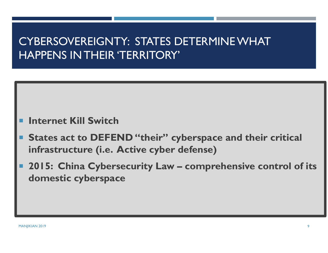# CYBERSOVEREIGNTY: STATES DETERMINE WHAT HAPPENS IN THEIR 'TERRITORY'

#### **Internet Kill Switch**

- F **States act to DEFEND "their" cyberspace and their critical infrastructure (i.e. Active cyber defense)**
- F **2015: China Cybersecurity Law – comprehensive control of its domestic cyberspace**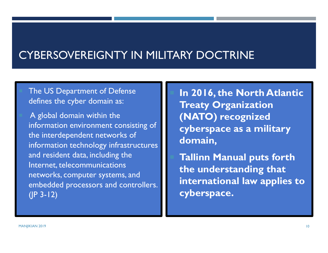#### CYBERSOVEREIGNTY IN MILITARY DOCTRINE

 The US Department of Defense defines the cyber domain as:

 A global domain within the information environment consisting of the interdependent networks of information technology infrastructures and resident data, including the Internet, telecommunications networks, computer systems, and embedded processors and controllers.  $(IP 3-12)$ 

 **In 2016, the North Atlantic Treaty Organization (NATO) recognized cyberspace as a military domain,**

 **Tallinn Manual puts forth the understanding that international law applies to cyberspace.**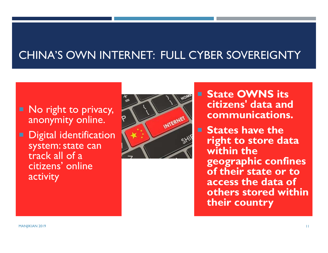## CHINA'S OWN INTERNET: FULL CYBER SOVEREIGNTY

#### No right to privacy, anonymity online.

 Digital identification system: state can track all of a citizens' online activity



**E** State OWNS its **citizens' data and communications.**

**States have the right to store data within the geographic confines of their state or to access the data of others stored within their country**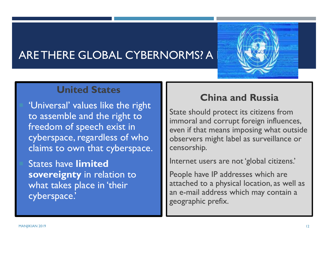## ARE THERE GLOBAL CYBERNORMS? A



#### **United States**

 'Universal' values like the right to assemble and the right to freedom of speech exist in cyberspace, regardless of who claims to own that cyberspace.

 States have **limited sovereignty** in relation to what takes place in 'their cyberspace.'

#### **China and Russia**

State should protect its citizens from immoral and corrupt foreign influences, even if that means imposing what outside observers might label as surveillance or censorship.

Internet users are not 'global citizens.'

People have IP addresses which are attached to a physical location, as well as an e-mail address which may contain a geographic prefix.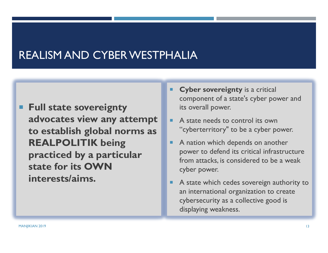## REALISM AND CYBER WESTPHALIA

- **Full state sovereignty advocates view any attempt to establish global norms as REALPOLITIK being practiced by a particular state for its OWN interests/aims.**
- П **Cyber sovereignty** is a critical component of a state's cyber power and its overall power.
- П A state needs to control its own "cyberterritory" to be a cyber power.
- A nation which depends on another power to defend its critical infrastructure from attacks, is considered to be a weak cyber power.
- A state which cedes sovereign authority to an international organization to create cybersecurity as a collective good is displaying weakness.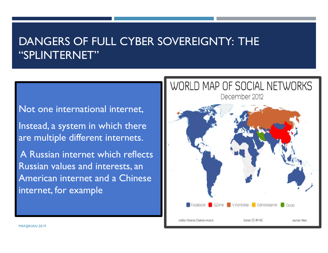## DANGERS OF FULL CYBER SOVEREIGNTY: THE "SPLINTERNET"

#### Not one international internet,

Instead, a system in which there are multiple different internets.

A Russian internet which reflects Russian values and interests, an American internet and a Chinese internet, for example

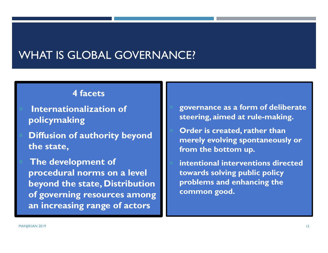#### WHAT IS GLOBAL GOVERNANCE?

#### **4 facets**

 **Internationalization of policymaking**

 **Diffusion of authority beyond the state,**

 **The development of procedural norms on a level beyond the state, Distribution of governing resources among an increasing range of actors**

 **governance as a form of deliberate steering, aimed at rule-making.** 

 **Order is created, rather than merely evolving spontaneously or from the bottom up.** 

 **intentional interventions directed towards solving public policy problems and enhancing the common good.**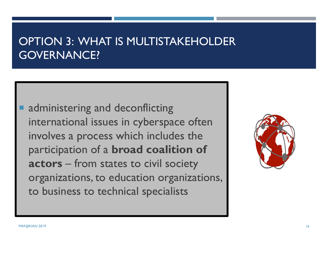## OPTION 3: WHAT IS MULTISTAKEHOLDER GOVERNANCE?

**Service Service**  administering and deconflicting international issues in cyberspace often involves a process which includes the participation of a **broad coalition of actors** – from states to civil society organizations, to education organizations, to business to technical specialists

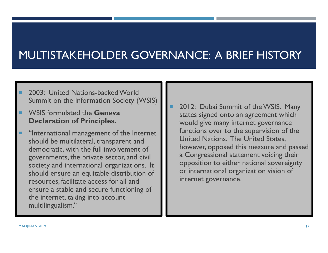# MULTISTAKEHOLDER GOVERNANCE: A BRIEF HISTORY

- 2003: United Nations-backed World Summit on the Information Society (WSIS)
- WSIS formulated the **Geneva Declaration of Principles.**
- "International management of the Internet should be multilateral, transparent and democratic, with the full involvement of governments, the private sector, and civil society and international organizations. It should ensure an equitable distribution of resources, facilitate access for all and ensure a stable and secure functioning of the internet, taking into account multilingualism."
- 2012: Dubai Summit of the WSIS. Many states signed onto an agreement which would give many internet governance functions over to the supervision of the United Nations. The United States, however, opposed this measure and passed a Congressional statement voicing their opposition to either national sovereignty or international organization vision of internet governance.